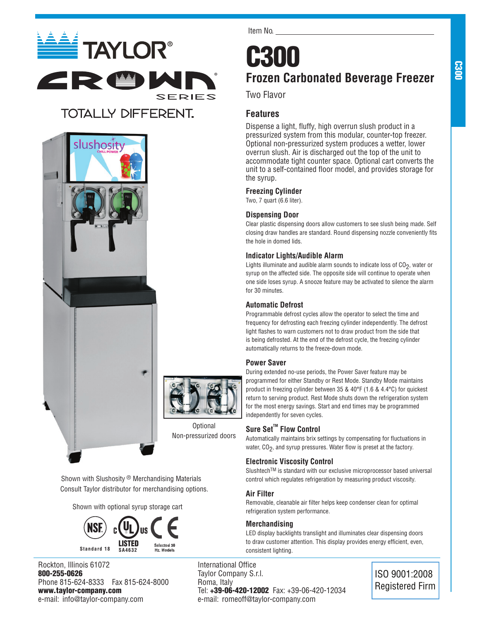

## **TOTALLY DIFFERENT.**





**Optional** Non-pressurized doors

Shown with Slushosity ® Merchandising Materials Consult Taylor distributor for merchandising options.

Shown with optional syrup storage cart



Rockton, Illinois 61072 800-255-0626 Phone 815-624-8333 Fax 815-624-8000 www.taylor-company.com e-mail: info@taylor-company.com

Item No.

## LS **Frozen Carbonated Beverage Freezer**

Two Flavor

## **Features**

Dispense a light, fluffy, high overrun slush product in a pressurized system from this modular, counter-top freezer. Optional non-pressurized system produces a wetter, lower overrun slush. Air is discharged out the top of the unit to accommodate tight counter space. Optional cart converts the unit to a self-contained floor model, and provides storage for the syrup.

## **Freezing Cylinder**

Two, 7 quart (6.6 liter).

## **Dispensing Door**

Clear plastic dispensing doors allow customers to see slush being made. Self closing draw handles are standard. Round dispensing nozzle conveniently fits the hole in domed lids.

## **Indicator Lights/Audible Alarm**

Lights illuminate and audible alarm sounds to indicate loss of  $CO<sub>2</sub>$ , water or syrup on the affected side. The opposite side will continue to operate when one side loses syrup. A snooze feature may be activated to silence the alarm for 30 minutes.

## **Automatic Defrost**

Programmable defrost cycles allow the operator to select the time and frequency for defrosting each freezing cylinder independently. The defrost light flashes to warn customers not to draw product from the side that is being defrosted. At the end of the defrost cycle, the freezing cylinder automatically returns to the freeze-down mode.

## **Power Saver**

During extended no-use periods, the Power Saver feature may be programmed for either Standby or Rest Mode. Standby Mode maintains product in freezing cylinder between 35 & 40°F (1.6 & 4.4°C) for quickest return to serving product. Rest Mode shuts down the refrigeration system for the most energy savings. Start and end times may be programmed independently for seven cycles.

## **Sure Set<sup>™</sup> Flow Control**

Automatically maintains brix settings by compensating for fluctuations in water,  $CO<sub>2</sub>$ , and syrup pressures. Water flow is preset at the factory.

## **Electronic Viscosity Control**

SlushtechTM is standard with our exclusive microprocessor based universal control which regulates refrigeration by measuring product viscosity.

## **Air Filter**

Removable, cleanable air filter helps keep condenser clean for optimal refrigeration system performance.

## **Merchandising**

LED display backlights translight and illuminates clear dispensing doors to draw customer attention. This display provides energy efficient, even, consistent lighting.

International Office Taylor Company S.r.l. Roma, Italy Tel: +39-06-420-12002 Fax: +39-06-420-12034 e-mail: romeoff@taylor-company.com